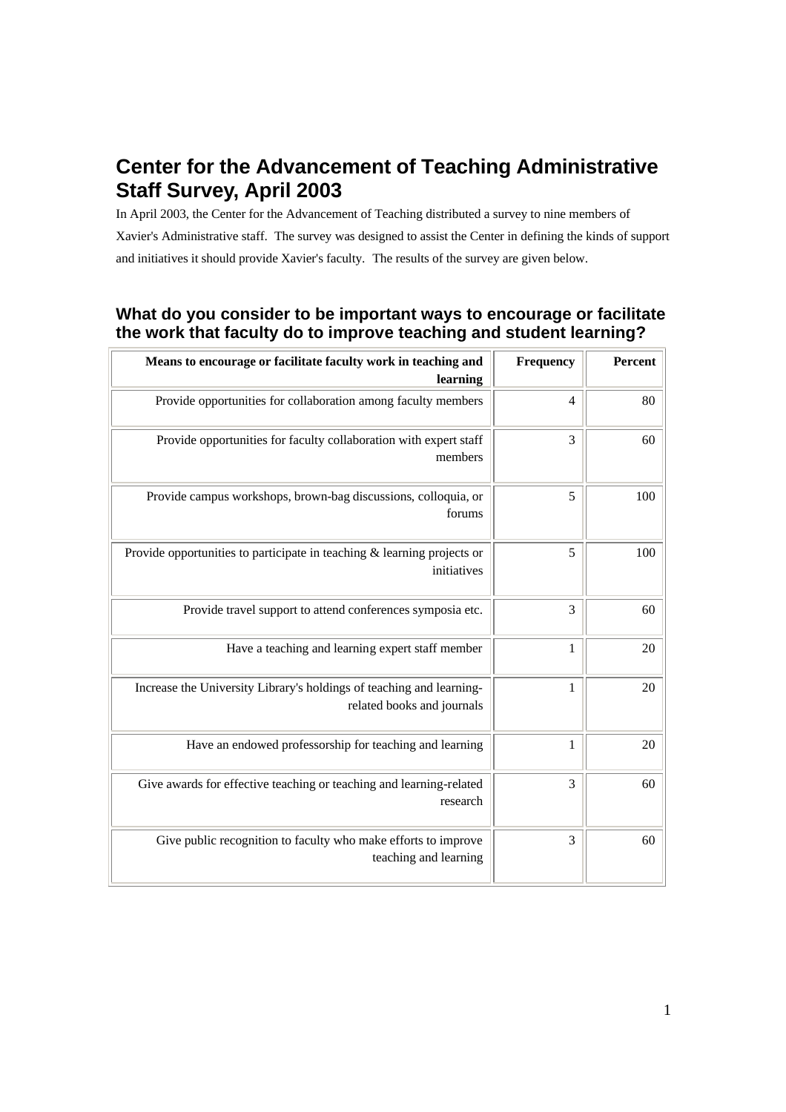# **Center for the Advancement of Teaching Administrative Staff Survey, April 2003**

In April 2003, the Center for the Advancement of Teaching distributed a survey to nine members of Xavier's Administrative staff. The survey was designed to assist the Center in defining the kinds of support and initiatives it should provide Xavier's faculty. The results of the survey are given below.

# **What do you consider to be important ways to encourage or facilitate the work that faculty do to improve teaching and student learning?**

| Means to encourage or facilitate faculty work in teaching and<br>learning                          | Frequency      | Percent |
|----------------------------------------------------------------------------------------------------|----------------|---------|
| Provide opportunities for collaboration among faculty members                                      | $\overline{4}$ | 80      |
| Provide opportunities for faculty collaboration with expert staff<br>members                       | 3              | 60      |
| Provide campus workshops, brown-bag discussions, colloquia, or<br>forums                           | 5              | 100     |
| Provide opportunities to participate in teaching $\&$ learning projects or<br>initiatives          | 5              | 100     |
| Provide travel support to attend conferences symposia etc.                                         | 3              | 60      |
| Have a teaching and learning expert staff member                                                   | $\mathbf{1}$   | 20      |
| Increase the University Library's holdings of teaching and learning-<br>related books and journals | 1              | 20      |
| Have an endowed professorship for teaching and learning                                            | 1              | 20      |
| Give awards for effective teaching or teaching and learning-related<br>research                    | 3              | 60      |
| Give public recognition to faculty who make efforts to improve<br>teaching and learning            | 3              | 60      |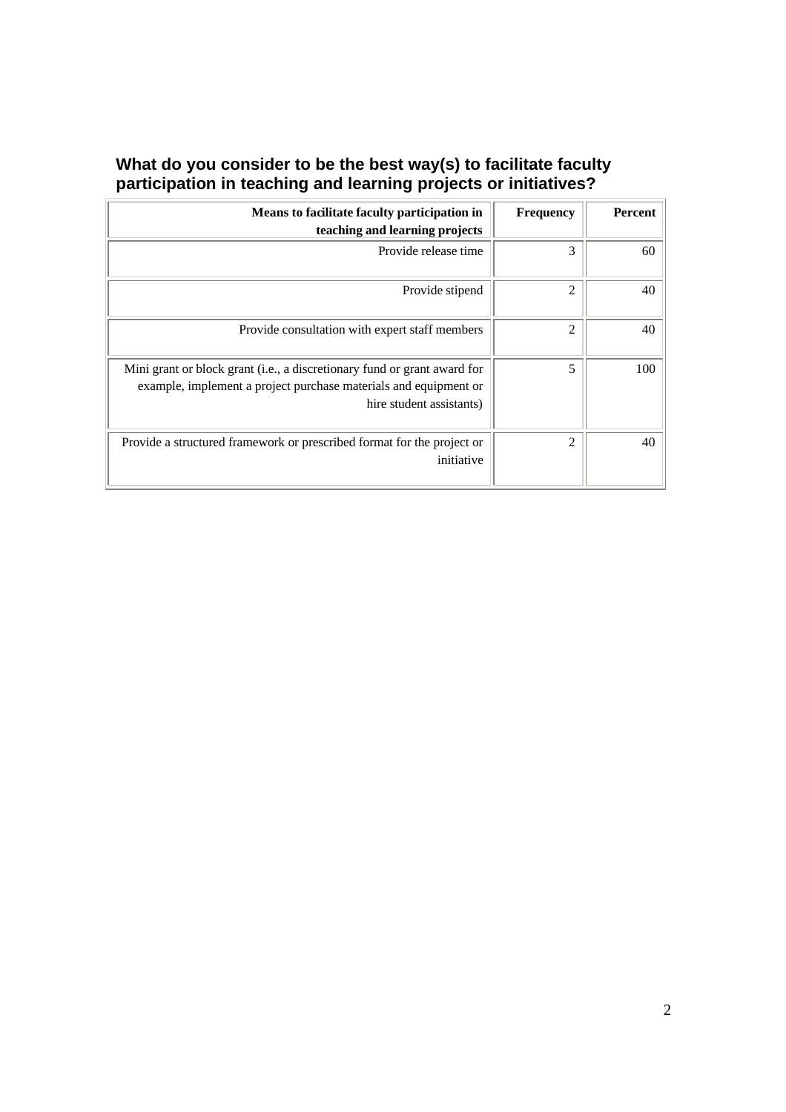## **What do you consider to be the best way(s) to facilitate faculty participation in teaching and learning projects or initiatives?**

| Means to facilitate faculty participation in<br>teaching and learning projects                                                                                           | <b>Frequency</b> | Percent |
|--------------------------------------------------------------------------------------------------------------------------------------------------------------------------|------------------|---------|
| Provide release time                                                                                                                                                     | 3                | 60      |
| Provide stipend                                                                                                                                                          | 2                | 40      |
| Provide consultation with expert staff members                                                                                                                           | $\overline{c}$   | 40      |
| Mini grant or block grant (i.e., a discretionary fund or grant award for<br>example, implement a project purchase materials and equipment or<br>hire student assistants) | 5                | 100     |
| Provide a structured framework or prescribed format for the project or<br>initiative                                                                                     | 2                | 40      |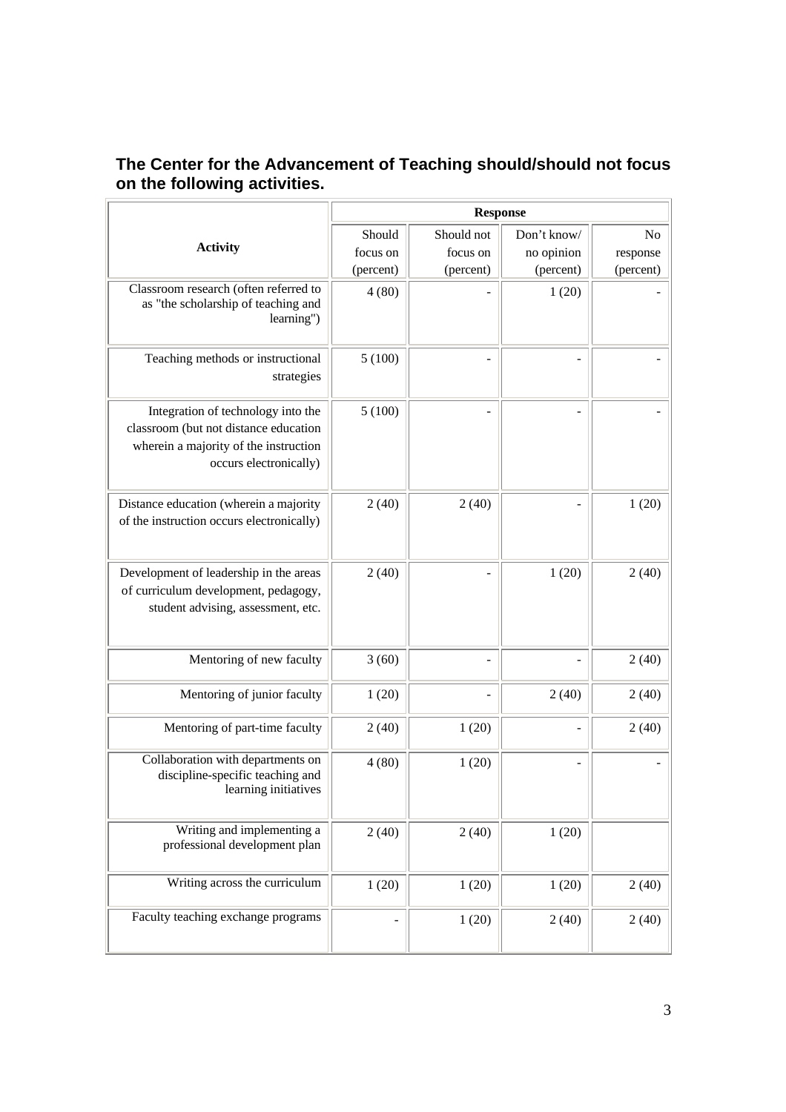#### **The Center for the Advancement of Teaching should/should not focus on the following activities.** <u>Response a la componenta del componenta del componenta del componenta del componenta del componenta del componenta del componenta del componenta del componenta del componenta del compo<br>Componenta del componenta del compon</u>  $\overline{\phantom{a}}$

|                                                                                                                                                | <b>Response</b> |            |             |                |
|------------------------------------------------------------------------------------------------------------------------------------------------|-----------------|------------|-------------|----------------|
|                                                                                                                                                | Should          | Should not | Don't know/ | N <sub>o</sub> |
| <b>Activity</b>                                                                                                                                | focus on        | focus on   | no opinion  | response       |
|                                                                                                                                                | (percent)       | (percent)  | (percent)   | (percent)      |
| Classroom research (often referred to<br>as "the scholarship of teaching and<br>learning")                                                     | 4(80)           |            | 1(20)       |                |
| Teaching methods or instructional<br>strategies                                                                                                | 5(100)          |            |             |                |
| Integration of technology into the<br>classroom (but not distance education<br>wherein a majority of the instruction<br>occurs electronically) | 5(100)          |            |             |                |
| Distance education (wherein a majority<br>of the instruction occurs electronically)                                                            | 2(40)           | 2(40)      |             | 1(20)          |
| Development of leadership in the areas<br>of curriculum development, pedagogy,<br>student advising, assessment, etc.                           | 2(40)           |            | 1(20)       | 2(40)          |
| Mentoring of new faculty                                                                                                                       | 3(60)           |            |             | 2(40)          |
| Mentoring of junior faculty                                                                                                                    | 1(20)           |            | 2(40)       | 2(40)          |
| Mentoring of part-time faculty                                                                                                                 | 2(40)           | 1(20)      |             | 2(40)          |
| Collaboration with departments on<br>discipline-specific teaching and<br>learning initiatives                                                  | 4(80)           | 1(20)      |             |                |
| Writing and implementing a<br>professional development plan                                                                                    | 2(40)           | 2(40)      | 1(20)       |                |
| Writing across the curriculum                                                                                                                  | 1(20)           | 1(20)      | 1(20)       | 2(40)          |
| Faculty teaching exchange programs                                                                                                             |                 | 1(20)      | 2(40)       | 2(40)          |